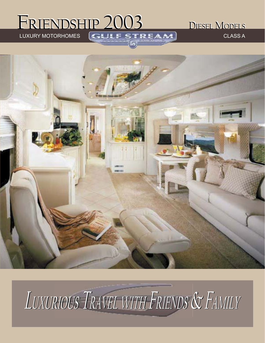## FRIENDSHIP 2003 DIESEL MODELS FRIENDSHIP 2003 DIESEL MODELS

LUXURY MOTORHOMES CHALLESTREAM



# LUXURIOUS TRAVEL WITH FRIENDS & FAMILY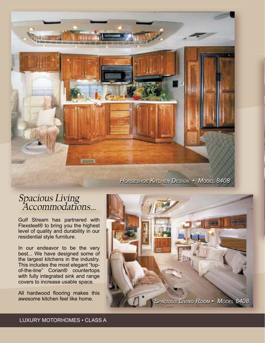

*HORSESHOE KITCHEN DESIGN • MODEL 8408 HORSESHOE KITCHEN DESIGN • MODEL 8408* 

#### Spacious Living Accommodations...

Gulf Stream has partnered with Flexsteel® to bring you the highest level of quality and durability in our residential style furniture.

In our endeavor to be the very best... We have designed some of the largest kitchens in the industry. This includes the most elegant "topof-the-line" Corian® countertops with fully integrated sink and range covers to increase usable space.

All hardwood flooring makes this awesome kitchen feel like home.

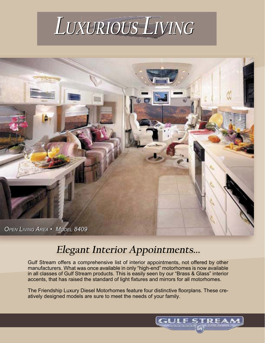



#### **Elegant Interior Appointments...**

Gulf Stream offers a comprehensive list of interior appointments, not offered by other manufacturers. What was once available in only "high-end" motorhomes is now available in all classes of Gulf Stream products. This is easily seen by our "Brass & Glass" interior accents, that has raised the standard of light fixtures and mirrors for all motorhomes.

The Friendship Luxury Diesel Motorhomes feature four distinctive floorplans. These creatively designed models are sure to meet the needs of your family.

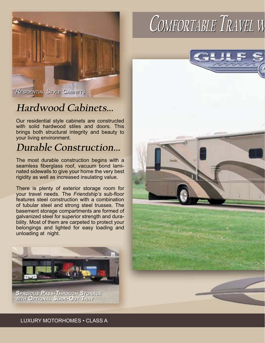

#### **Hardwood Cabinets...**

Our residential style cabinets are constructed with solid hardwood stiles and doors. This brings both structural integrity and beauty to your living environment.

#### **Durable Construction...**

The most durable construction begins with a seamless fiberglass roof, vacuum bond laminated sidewalls to give your home the very best rigidity as well as increased insulating value.

There is plenty of exterior storage room for your travel needs. The *Friendship's* sub-floor features steel construction with a combination of tubular steel and strong steel trusses. The basement storage compartments are formed of galvanized steel for superior strength and durability. Most of them are carpeted to protect your belongings and lighted for easy loading and unloading at night.



*SPACIOUS PASS-THROUGH STORAGE SPACIOUS PASS-THROUGH STORAGE WITH OPTIONAL SLIDE-OUT TRAY WITH OPTIONAL SLIDE-OUT TRAY*

## **COMFORTABLE OMFORTABLE TRAVEL <sup>W</sup>**

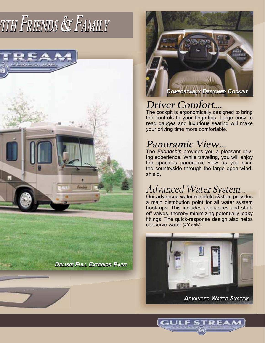## **WITH FRIENDS & FAMILY**



*DELUXE FULL EXTERIOR PAINT DELUXE FULL* 



#### **Driver Comfort...**

The cockpit is ergonomically designed to bring the controls to your fingertips. Large easy to read gauges and luxurious seating will make your driving time more comfortable.

#### **Panoramic View...**

The *Friendship* provides you a pleasant driving experience. While traveling, you will enjoy the spacious panoramic view as you scan the countryside through the large open windshield.

#### Advanced Water System...

Our advanced water manifold system provides a main distribution point for all water system hook-ups. This includes appliances and shutoff valves, thereby minimizing potentially leaky fittings. The quick-response design also helps conserve water (40' only).

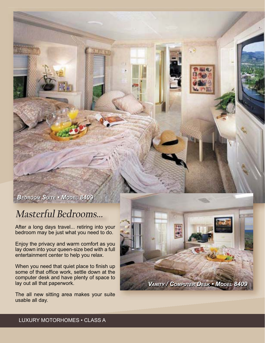*BEDROOM SUITE • MODEL 8409 BEDROOM SUITE • MODEL 8409*

#### **Masterful Bedrooms...**

After a long days travel... retiring into your bedroom may be just what you need to do.

Enjoy the privacy and warm comfort as you lay down into your queen-size bed with a full entertainment center to help you relax.

When you need that quiet place to finish up some of that office work, settle down at the computer desk and have plenty of space to lay out all that paperwork.

The all new sitting area makes your suite usable all day.

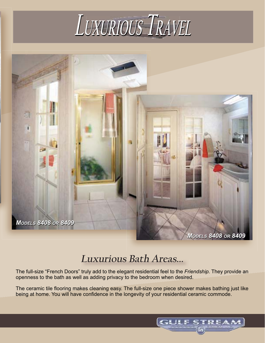



#### **Luxurious Bath Areas...**

The full-size "French Doors" truly add to the elegant residential feel to the *Friendship*. They provide an openness to the bath as well as adding privacy to the bedroom when desired.

The ceramic tile flooring makes cleaning easy. The full-size one piece shower makes bathing just like being at home. You will have confidence in the longevity of your residential ceramic commode.